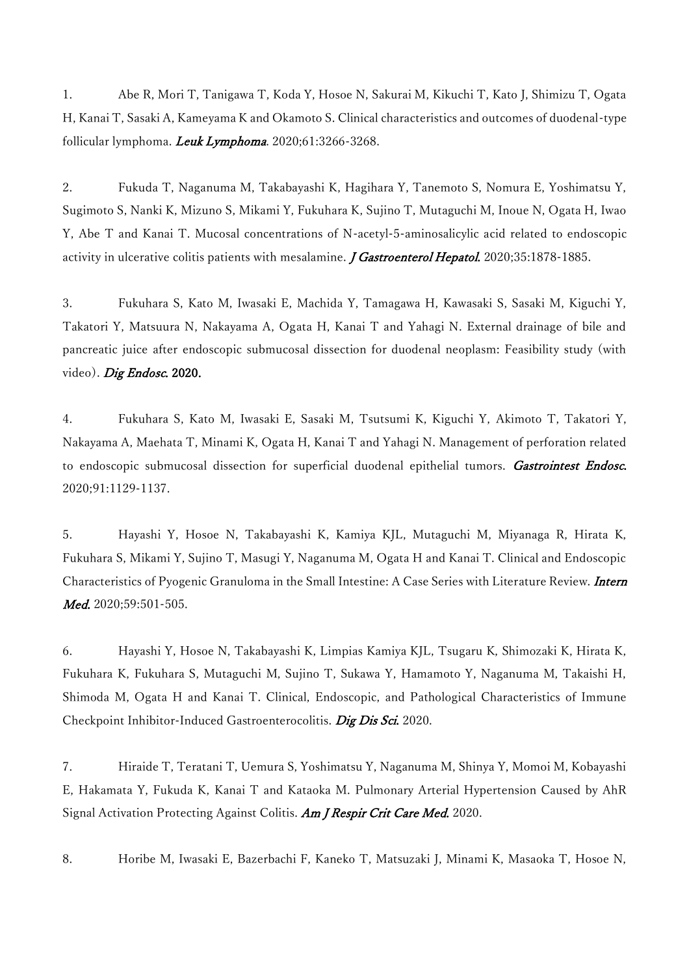1. Abe R, Mori T, Tanigawa T, Koda Y, Hosoe N, Sakurai M, Kikuchi T, Kato J, Shimizu T, Ogata H, Kanai T, Sasaki A, Kameyama K and Okamoto S. Clinical characteristics and outcomes of duodenal-type follicular lymphoma. Leuk Lymphoma. 2020;61:3266-3268.

2. Fukuda T, Naganuma M, Takabayashi K, Hagihara Y, Tanemoto S, Nomura E, Yoshimatsu Y, Sugimoto S, Nanki K, Mizuno S, Mikami Y, Fukuhara K, Sujino T, Mutaguchi M, Inoue N, Ogata H, Iwao Y, Abe T and Kanai T. Mucosal concentrations of N-acetyl-5-aminosalicylic acid related to endoscopic activity in ulcerative colitis patients with mesalamine. *J Gastroenterol Hepatol*. 2020;35:1878-1885.

3. Fukuhara S, Kato M, Iwasaki E, Machida Y, Tamagawa H, Kawasaki S, Sasaki M, Kiguchi Y, Takatori Y, Matsuura N, Nakayama A, Ogata H, Kanai T and Yahagi N. External drainage of bile and pancreatic juice after endoscopic submucosal dissection for duodenal neoplasm: Feasibility study (with video). Dig Endosc. 2020.

4. Fukuhara S, Kato M, Iwasaki E, Sasaki M, Tsutsumi K, Kiguchi Y, Akimoto T, Takatori Y, Nakayama A, Maehata T, Minami K, Ogata H, Kanai T and Yahagi N. Management of perforation related to endoscopic submucosal dissection for superficial duodenal epithelial tumors. Gastrointest Endosc. 2020;91:1129-1137.

5. Hayashi Y, Hosoe N, Takabayashi K, Kamiya KJL, Mutaguchi M, Miyanaga R, Hirata K, Fukuhara S, Mikami Y, Sujino T, Masugi Y, Naganuma M, Ogata H and Kanai T. Clinical and Endoscopic Characteristics of Pyogenic Granuloma in the Small Intestine: A Case Series with Literature Review. *Intern* Med. 2020:59:501-505.

6. Hayashi Y, Hosoe N, Takabayashi K, Limpias Kamiya KJL, Tsugaru K, Shimozaki K, Hirata K, Fukuhara K, Fukuhara S, Mutaguchi M, Sujino T, Sukawa Y, Hamamoto Y, Naganuma M, Takaishi H, Shimoda M, Ogata H and Kanai T. Clinical, Endoscopic, and Pathological Characteristics of Immune Checkpoint Inhibitor-Induced Gastroenterocolitis. Dig Dis Sci. 2020.

7. Hiraide T, Teratani T, Uemura S, Yoshimatsu Y, Naganuma M, Shinya Y, Momoi M, Kobayashi E, Hakamata Y, Fukuda K, Kanai T and Kataoka M. Pulmonary Arterial Hypertension Caused by AhR Signal Activation Protecting Against Colitis. Am J Respir Crit Care Med. 2020.

8. Horibe M, Iwasaki E, Bazerbachi F, Kaneko T, Matsuzaki J, Minami K, Masaoka T, Hosoe N,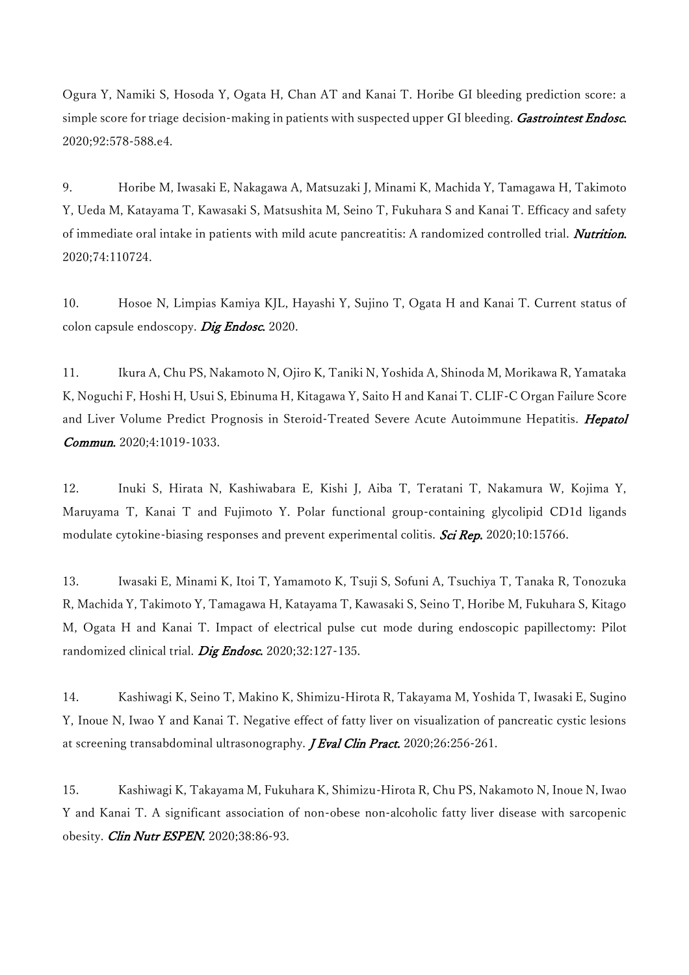Ogura Y, Namiki S, Hosoda Y, Ogata H, Chan AT and Kanai T. Horibe GI bleeding prediction score: a simple score for triage decision-making in patients with suspected upper GI bleeding. Gastrointest Endosc. 2020;92:578-588.e4.

9. Horibe M, Iwasaki E, Nakagawa A, Matsuzaki J, Minami K, Machida Y, Tamagawa H, Takimoto Y, Ueda M, Katayama T, Kawasaki S, Matsushita M, Seino T, Fukuhara S and Kanai T. Efficacy and safety of immediate oral intake in patients with mild acute pancreatitis: A randomized controlled trial. Nutrition. 2020;74:110724.

10. Hosoe N, Limpias Kamiya KJL, Hayashi Y, Sujino T, Ogata H and Kanai T. Current status of colon capsule endoscopy. Dig Endosc. 2020.

11. Ikura A, Chu PS, Nakamoto N, Ojiro K, Taniki N, Yoshida A, Shinoda M, Morikawa R, Yamataka K, Noguchi F, Hoshi H, Usui S, Ebinuma H, Kitagawa Y, Saito H and Kanai T. CLIF-C Organ Failure Score and Liver Volume Predict Prognosis in Steroid-Treated Severe Acute Autoimmune Hepatitis. Hepatol Commun. 2020;4:1019-1033.

12. Inuki S, Hirata N, Kashiwabara E, Kishi J, Aiba T, Teratani T, Nakamura W, Kojima Y, Maruyama T, Kanai T and Fujimoto Y. Polar functional group-containing glycolipid CD1d ligands modulate cytokine-biasing responses and prevent experimental colitis. Sci Rep. 2020;10:15766.

13. Iwasaki E, Minami K, Itoi T, Yamamoto K, Tsuji S, Sofuni A, Tsuchiya T, Tanaka R, Tonozuka R, Machida Y, Takimoto Y, Tamagawa H, Katayama T, Kawasaki S, Seino T, Horibe M, Fukuhara S, Kitago M, Ogata H and Kanai T. Impact of electrical pulse cut mode during endoscopic papillectomy: Pilot randomized clinical trial. Dig Endosc. 2020;32:127-135.

14. Kashiwagi K, Seino T, Makino K, Shimizu-Hirota R, Takayama M, Yoshida T, Iwasaki E, Sugino Y, Inoue N, Iwao Y and Kanai T. Negative effect of fatty liver on visualization of pancreatic cystic lesions at screening transabdominal ultrasonography. *J Eval Clin Pract*. 2020;26:256-261.

15. Kashiwagi K, Takayama M, Fukuhara K, Shimizu-Hirota R, Chu PS, Nakamoto N, Inoue N, Iwao Y and Kanai T. A significant association of non-obese non-alcoholic fatty liver disease with sarcopenic obesity. *Clin Nutr ESPEN*. 2020;38:86-93.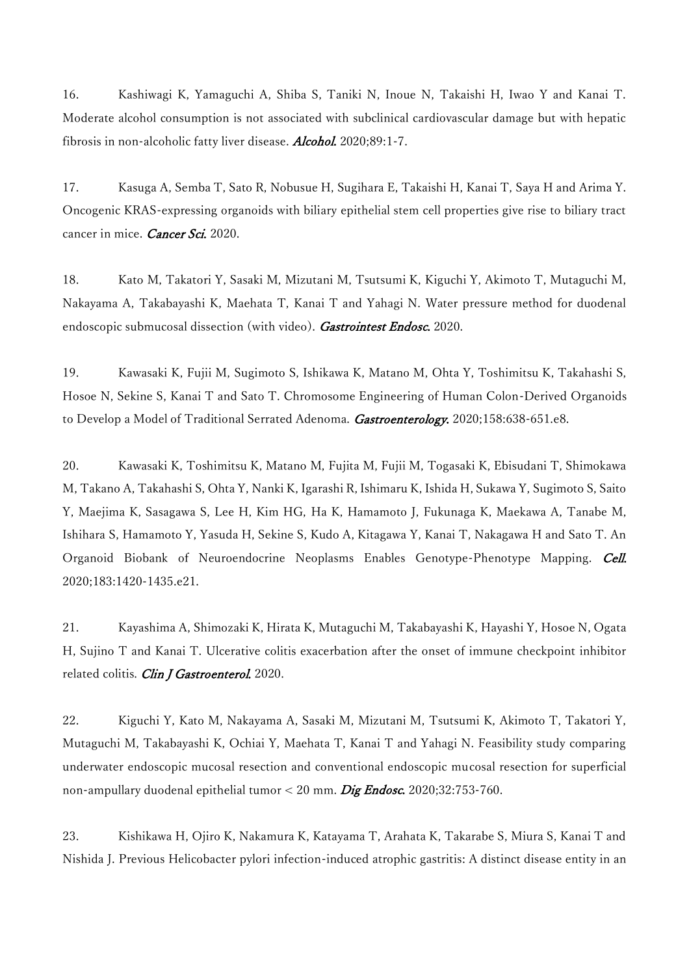16. Kashiwagi K, Yamaguchi A, Shiba S, Taniki N, Inoue N, Takaishi H, Iwao Y and Kanai T. Moderate alcohol consumption is not associated with subclinical cardiovascular damage but with hepatic fibrosis in non-alcoholic fatty liver disease. Alcohol. 2020;89:1-7.

17. Kasuga A, Semba T, Sato R, Nobusue H, Sugihara E, Takaishi H, Kanai T, Saya H and Arima Y. Oncogenic KRAS-expressing organoids with biliary epithelial stem cell properties give rise to biliary tract cancer in mice. Cancer Sci. 2020.

18. Kato M, Takatori Y, Sasaki M, Mizutani M, Tsutsumi K, Kiguchi Y, Akimoto T, Mutaguchi M, Nakayama A, Takabayashi K, Maehata T, Kanai T and Yahagi N. Water pressure method for duodenal endoscopic submucosal dissection (with video). Gastrointest Endosc. 2020.

19. Kawasaki K, Fujii M, Sugimoto S, Ishikawa K, Matano M, Ohta Y, Toshimitsu K, Takahashi S, Hosoe N, Sekine S, Kanai T and Sato T. Chromosome Engineering of Human Colon-Derived Organoids to Develop a Model of Traditional Serrated Adenoma. Gastroenterology. 2020;158:638-651.e8.

20. Kawasaki K, Toshimitsu K, Matano M, Fujita M, Fujii M, Togasaki K, Ebisudani T, Shimokawa M, Takano A, Takahashi S, Ohta Y, Nanki K, Igarashi R, Ishimaru K, Ishida H, Sukawa Y, Sugimoto S, Saito Y, Maejima K, Sasagawa S, Lee H, Kim HG, Ha K, Hamamoto J, Fukunaga K, Maekawa A, Tanabe M, Ishihara S, Hamamoto Y, Yasuda H, Sekine S, Kudo A, Kitagawa Y, Kanai T, Nakagawa H and Sato T. An Organoid Biobank of Neuroendocrine Neoplasms Enables Genotype-Phenotype Mapping. Cell. 2020;183:1420-1435.e21.

21. Kayashima A, Shimozaki K, Hirata K, Mutaguchi M, Takabayashi K, Hayashi Y, Hosoe N, Ogata H, Sujino T and Kanai T. Ulcerative colitis exacerbation after the onset of immune checkpoint inhibitor related colitis. Clin J Gastroenterol. 2020.

22. Kiguchi Y, Kato M, Nakayama A, Sasaki M, Mizutani M, Tsutsumi K, Akimoto T, Takatori Y, Mutaguchi M, Takabayashi K, Ochiai Y, Maehata T, Kanai T and Yahagi N. Feasibility study comparing underwater endoscopic mucosal resection and conventional endoscopic mucosal resection for superficial non-ampullary duodenal epithelial tumor < 20 mm. Dig Endosc. 2020;32:753-760.

23. Kishikawa H, Ojiro K, Nakamura K, Katayama T, Arahata K, Takarabe S, Miura S, Kanai T and Nishida J. Previous Helicobacter pylori infection-induced atrophic gastritis: A distinct disease entity in an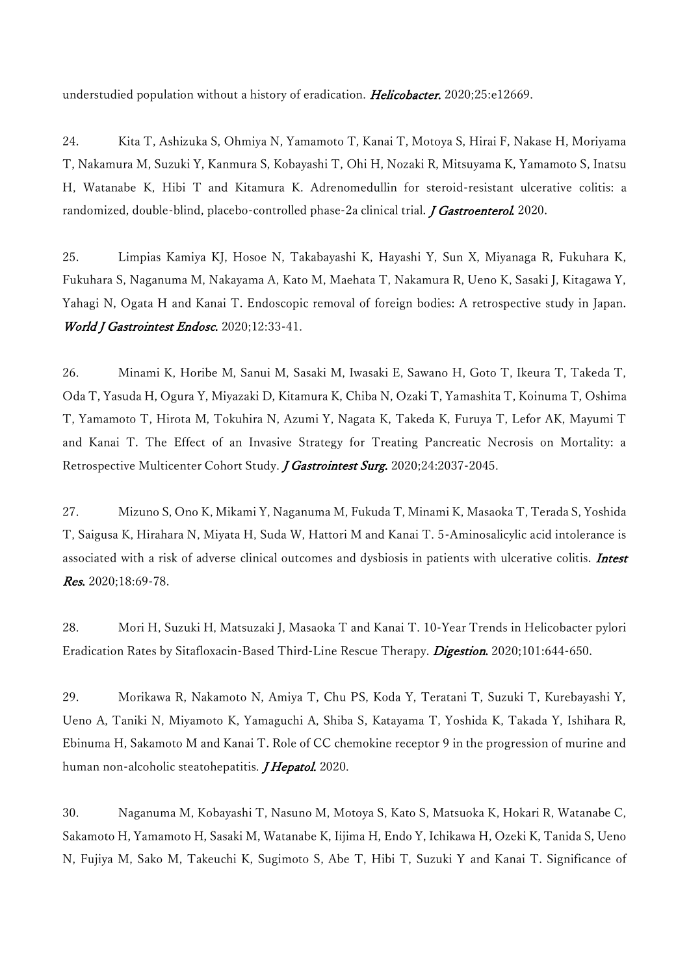understudied population without a history of eradication. Helicobacter. 2020;25:e12669.

24. Kita T, Ashizuka S, Ohmiya N, Yamamoto T, Kanai T, Motoya S, Hirai F, Nakase H, Moriyama T, Nakamura M, Suzuki Y, Kanmura S, Kobayashi T, Ohi H, Nozaki R, Mitsuyama K, Yamamoto S, Inatsu H, Watanabe K, Hibi T and Kitamura K. Adrenomedullin for steroid-resistant ulcerative colitis: a randomized, double-blind, placebo-controlled phase-2a clinical trial. *J Gastroenterol.* 2020.

25. Limpias Kamiya KJ, Hosoe N, Takabayashi K, Hayashi Y, Sun X, Miyanaga R, Fukuhara K, Fukuhara S, Naganuma M, Nakayama A, Kato M, Maehata T, Nakamura R, Ueno K, Sasaki J, Kitagawa Y, Yahagi N, Ogata H and Kanai T. Endoscopic removal of foreign bodies: A retrospective study in Japan. World J Gastrointest Endosc. 2020;12:33-41.

26. Minami K, Horibe M, Sanui M, Sasaki M, Iwasaki E, Sawano H, Goto T, Ikeura T, Takeda T, Oda T, Yasuda H, Ogura Y, Miyazaki D, Kitamura K, Chiba N, Ozaki T, Yamashita T, Koinuma T, Oshima T, Yamamoto T, Hirota M, Tokuhira N, Azumi Y, Nagata K, Takeda K, Furuya T, Lefor AK, Mayumi T and Kanai T. The Effect of an Invasive Strategy for Treating Pancreatic Necrosis on Mortality: a Retrospective Multicenter Cohort Study. *J Gastrointest Surg.* 2020;24:2037-2045.

27. Mizuno S, Ono K, Mikami Y, Naganuma M, Fukuda T, Minami K, Masaoka T, Terada S, Yoshida T, Saigusa K, Hirahara N, Miyata H, Suda W, Hattori M and Kanai T. 5-Aminosalicylic acid intolerance is associated with a risk of adverse clinical outcomes and dysbiosis in patients with ulcerative colitis. Intest Res. 2020;18:69-78.

28. Mori H, Suzuki H, Matsuzaki J, Masaoka T and Kanai T. 10-Year Trends in Helicobacter pylori Eradication Rates by Sitafloxacin-Based Third-Line Rescue Therapy. Digestion. 2020;101:644-650.

29. Morikawa R, Nakamoto N, Amiya T, Chu PS, Koda Y, Teratani T, Suzuki T, Kurebayashi Y, Ueno A, Taniki N, Miyamoto K, Yamaguchi A, Shiba S, Katayama T, Yoshida K, Takada Y, Ishihara R, Ebinuma H, Sakamoto M and Kanai T. Role of CC chemokine receptor 9 in the progression of murine and human non-alcoholic steatohepatitis. *J Hepatol*. 2020.

30. Naganuma M, Kobayashi T, Nasuno M, Motoya S, Kato S, Matsuoka K, Hokari R, Watanabe C, Sakamoto H, Yamamoto H, Sasaki M, Watanabe K, Iijima H, Endo Y, Ichikawa H, Ozeki K, Tanida S, Ueno N, Fujiya M, Sako M, Takeuchi K, Sugimoto S, Abe T, Hibi T, Suzuki Y and Kanai T. Significance of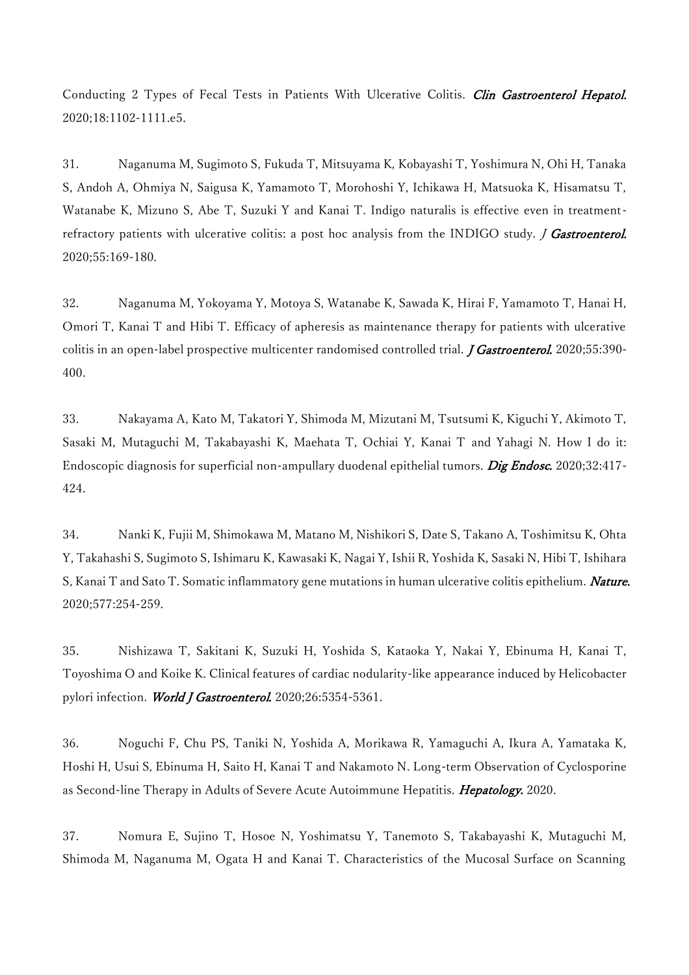Conducting 2 Types of Fecal Tests in Patients With Ulcerative Colitis. Clin Gastroenterol Hepatol. 2020;18:1102-1111.e5.

31. Naganuma M, Sugimoto S, Fukuda T, Mitsuyama K, Kobayashi T, Yoshimura N, Ohi H, Tanaka S, Andoh A, Ohmiya N, Saigusa K, Yamamoto T, Morohoshi Y, Ichikawa H, Matsuoka K, Hisamatsu T, Watanabe K, Mizuno S, Abe T, Suzuki Y and Kanai T. Indigo naturalis is effective even in treatmentrefractory patients with ulcerative colitis: a post hoc analysis from the INDIGO study. *J Gastroenterol*. 2020;55:169-180.

32. Naganuma M, Yokoyama Y, Motoya S, Watanabe K, Sawada K, Hirai F, Yamamoto T, Hanai H, Omori T, Kanai T and Hibi T. Efficacy of apheresis as maintenance therapy for patients with ulcerative colitis in an open-label prospective multicenter randomised controlled trial. *J Gastroenterol.* 2020;55:390-400.

33. Nakayama A, Kato M, Takatori Y, Shimoda M, Mizutani M, Tsutsumi K, Kiguchi Y, Akimoto T, Sasaki M, Mutaguchi M, Takabayashi K, Maehata T, Ochiai Y, Kanai T and Yahagi N. How I do it: Endoscopic diagnosis for superficial non-ampullary duodenal epithelial tumors. Dig Endosc. 2020;32:417-424.

34. Nanki K, Fujii M, Shimokawa M, Matano M, Nishikori S, Date S, Takano A, Toshimitsu K, Ohta Y, Takahashi S, Sugimoto S, Ishimaru K, Kawasaki K, Nagai Y, Ishii R, Yoshida K, Sasaki N, Hibi T, Ishihara S, Kanai T and Sato T. Somatic inflammatory gene mutations in human ulcerative colitis epithelium. *Nature*. 2020;577:254-259.

35. Nishizawa T, Sakitani K, Suzuki H, Yoshida S, Kataoka Y, Nakai Y, Ebinuma H, Kanai T, Toyoshima O and Koike K. Clinical features of cardiac nodularity-like appearance induced by Helicobacter pylori infection. World J Gastroenterol. 2020;26:5354-5361.

36. Noguchi F, Chu PS, Taniki N, Yoshida A, Morikawa R, Yamaguchi A, Ikura A, Yamataka K, Hoshi H, Usui S, Ebinuma H, Saito H, Kanai T and Nakamoto N. Long-term Observation of Cyclosporine as Second-line Therapy in Adults of Severe Acute Autoimmune Hepatitis. Hepatology. 2020.

37. Nomura E, Sujino T, Hosoe N, Yoshimatsu Y, Tanemoto S, Takabayashi K, Mutaguchi M, Shimoda M, Naganuma M, Ogata H and Kanai T. Characteristics of the Mucosal Surface on Scanning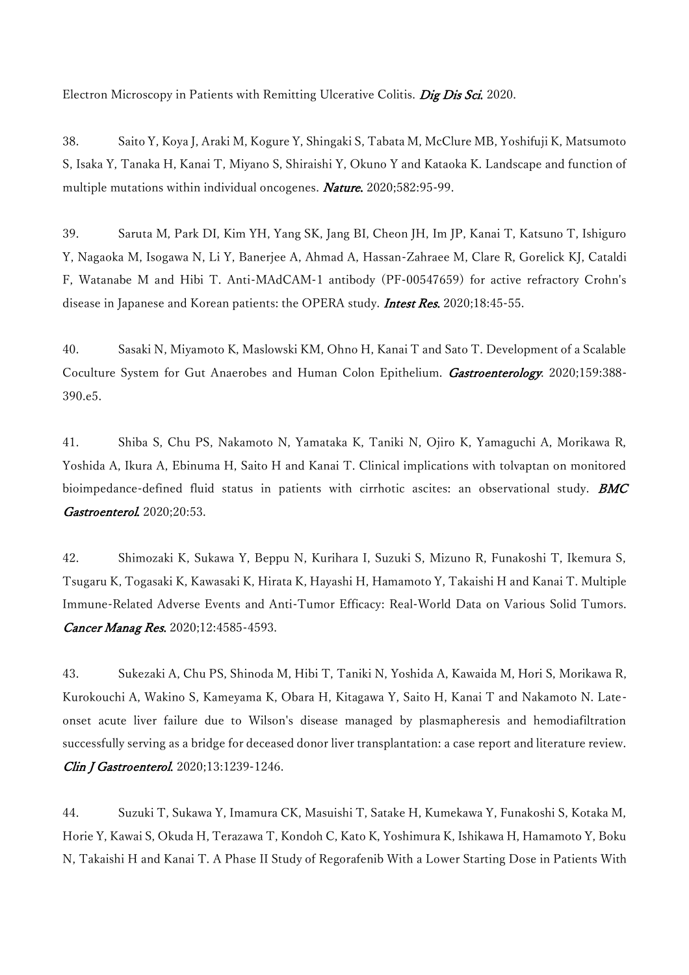Electron Microscopy in Patients with Remitting Ulcerative Colitis. Dig Dis Sci. 2020.

38. Saito Y, Koya J, Araki M, Kogure Y, Shingaki S, Tabata M, McClure MB, Yoshifuji K, Matsumoto S, Isaka Y, Tanaka H, Kanai T, Miyano S, Shiraishi Y, Okuno Y and Kataoka K. Landscape and function of multiple mutations within individual oncogenes. *Nature*. 2020;582:95-99.

39. Saruta M, Park DI, Kim YH, Yang SK, Jang BI, Cheon JH, Im JP, Kanai T, Katsuno T, Ishiguro Y, Nagaoka M, Isogawa N, Li Y, Banerjee A, Ahmad A, Hassan-Zahraee M, Clare R, Gorelick KJ, Cataldi F, Watanabe M and Hibi T. Anti-MAdCAM-1 antibody (PF-00547659) for active refractory Crohn's disease in Japanese and Korean patients: the OPERA study. Intest Res. 2020;18:45-55.

40. Sasaki N, Miyamoto K, Maslowski KM, Ohno H, Kanai T and Sato T. Development of a Scalable Coculture System for Gut Anaerobes and Human Colon Epithelium. Gastroenterology. 2020;159:388-390.e5.

41. Shiba S, Chu PS, Nakamoto N, Yamataka K, Taniki N, Ojiro K, Yamaguchi A, Morikawa R, Yoshida A, Ikura A, Ebinuma H, Saito H and Kanai T. Clinical implications with tolvaptan on monitored bioimpedance-defined fluid status in patients with cirrhotic ascites: an observational study. **BMC** Gastroenterol. 2020;20:53.

42. Shimozaki K, Sukawa Y, Beppu N, Kurihara I, Suzuki S, Mizuno R, Funakoshi T, Ikemura S, Tsugaru K, Togasaki K, Kawasaki K, Hirata K, Hayashi H, Hamamoto Y, Takaishi H and Kanai T. Multiple Immune-Related Adverse Events and Anti-Tumor Efficacy: Real-World Data on Various Solid Tumors. Cancer Manag Res. 2020;12:4585-4593.

43. Sukezaki A, Chu PS, Shinoda M, Hibi T, Taniki N, Yoshida A, Kawaida M, Hori S, Morikawa R, Kurokouchi A, Wakino S, Kameyama K, Obara H, Kitagawa Y, Saito H, Kanai T and Nakamoto N. Lateonset acute liver failure due to Wilson's disease managed by plasmapheresis and hemodiafiltration successfully serving as a bridge for deceased donor liver transplantation: a case report and literature review. Clin J Gastroenterol. 2020;13:1239-1246.

44. Suzuki T, Sukawa Y, Imamura CK, Masuishi T, Satake H, Kumekawa Y, Funakoshi S, Kotaka M, Horie Y, Kawai S, Okuda H, Terazawa T, Kondoh C, Kato K, Yoshimura K, Ishikawa H, Hamamoto Y, Boku N, Takaishi H and Kanai T. A Phase II Study of Regorafenib With a Lower Starting Dose in Patients With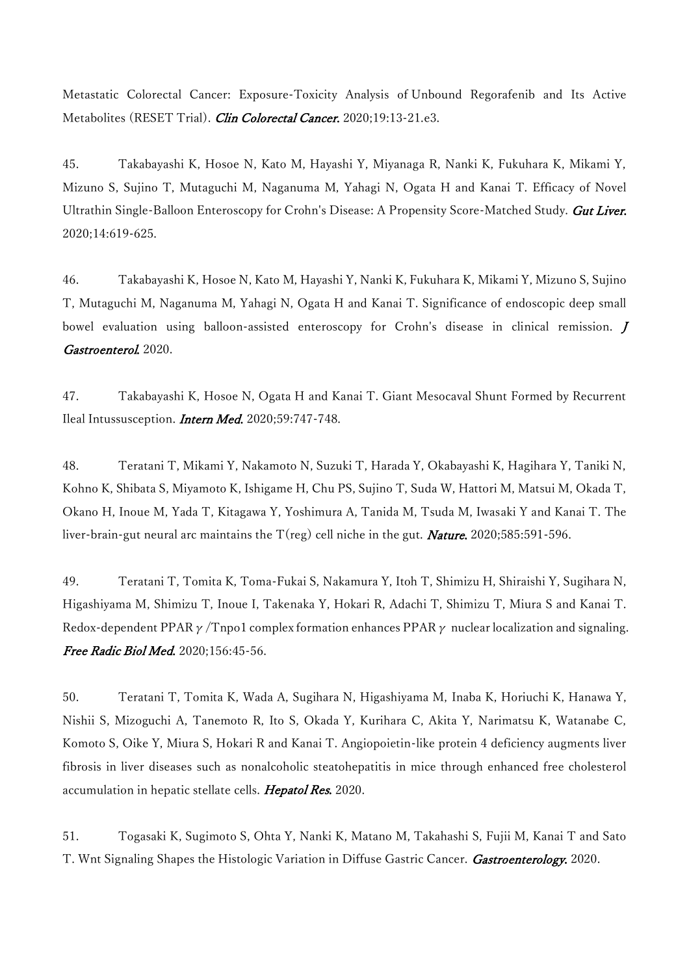Metastatic Colorectal Cancer: Exposure-Toxicity Analysis of Unbound Regorafenib and Its Active Metabolites (RESET Trial). Clin Colorectal Cancer. 2020;19:13-21.e3.

45. Takabayashi K, Hosoe N, Kato M, Hayashi Y, Miyanaga R, Nanki K, Fukuhara K, Mikami Y, Mizuno S, Sujino T, Mutaguchi M, Naganuma M, Yahagi N, Ogata H and Kanai T. Efficacy of Novel Ultrathin Single-Balloon Enteroscopy for Crohn's Disease: A Propensity Score-Matched Study. Gut Liver. 2020;14:619-625.

46. Takabayashi K, Hosoe N, Kato M, Hayashi Y, Nanki K, Fukuhara K, Mikami Y, Mizuno S, Sujino T, Mutaguchi M, Naganuma M, Yahagi N, Ogata H and Kanai T. Significance of endoscopic deep small bowel evaluation using balloon-assisted enteroscopy for Crohn's disease in clinical remission. J Gastroenterol. 2020.

47. Takabayashi K, Hosoe N, Ogata H and Kanai T. Giant Mesocaval Shunt Formed by Recurrent Ileal Intussusception. Intern Med. 2020;59:747-748.

48. Teratani T, Mikami Y, Nakamoto N, Suzuki T, Harada Y, Okabayashi K, Hagihara Y, Taniki N, Kohno K, Shibata S, Miyamoto K, Ishigame H, Chu PS, Sujino T, Suda W, Hattori M, Matsui M, Okada T, Okano H, Inoue M, Yada T, Kitagawa Y, Yoshimura A, Tanida M, Tsuda M, Iwasaki Y and Kanai T. The liver-brain-gut neural arc maintains the  $T(\text{reg})$  cell niche in the gut. **Nature.** 2020;585:591-596.

49. Teratani T, Tomita K, Toma-Fukai S, Nakamura Y, Itoh T, Shimizu H, Shiraishi Y, Sugihara N, Higashiyama M, Shimizu T, Inoue I, Takenaka Y, Hokari R, Adachi T, Shimizu T, Miura S and Kanai T. Redox-dependent PPAR  $\gamma$ /Tnpo1 complex formation enhances PPAR  $\gamma$  nuclear localization and signaling. Free Radic Biol Med. 2020;156:45-56.

50. Teratani T, Tomita K, Wada A, Sugihara N, Higashiyama M, Inaba K, Horiuchi K, Hanawa Y, Nishii S, Mizoguchi A, Tanemoto R, Ito S, Okada Y, Kurihara C, Akita Y, Narimatsu K, Watanabe C, Komoto S, Oike Y, Miura S, Hokari R and Kanai T. Angiopoietin-like protein 4 deficiency augments liver fibrosis in liver diseases such as nonalcoholic steatohepatitis in mice through enhanced free cholesterol accumulation in hepatic stellate cells. Hepatol Res. 2020.

51. Togasaki K, Sugimoto S, Ohta Y, Nanki K, Matano M, Takahashi S, Fujii M, Kanai T and Sato T. Wnt Signaling Shapes the Histologic Variation in Diffuse Gastric Cancer. Gastroenterology. 2020.